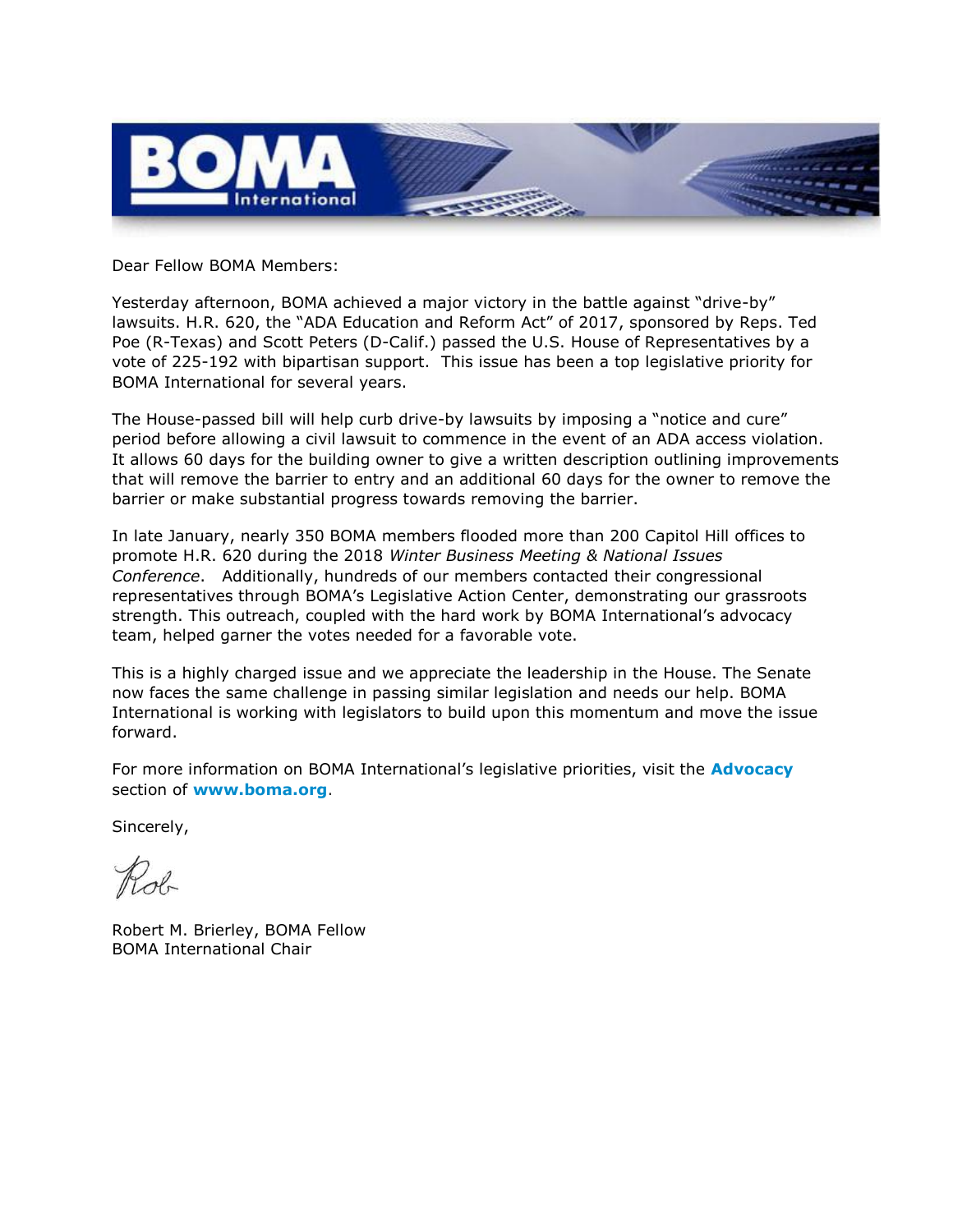

Dear Fellow BOMA Members:

Yesterday afternoon, BOMA achieved a major victory in the battle against "drive-by" lawsuits. H.R. 620, the "ADA Education and Reform Act" of 2017, sponsored by Reps. Ted Poe (R-Texas) and Scott Peters (D-Calif.) passed the U.S. House of Representatives by a vote of 225-192 with bipartisan support. This issue has been a top legislative priority for BOMA International for several years.

The House-passed bill will help curb drive-by lawsuits by imposing a "notice and cure" period before allowing a civil lawsuit to commence in the event of an ADA access violation. It allows 60 days for the building owner to give a written description outlining improvements that will remove the barrier to entry and an additional 60 days for the owner to remove the barrier or make substantial progress towards removing the barrier.

In late January, nearly 350 BOMA members flooded more than 200 Capitol Hill offices to promote H.R. 620 during the 2018 *Winter Business Meeting & National Issues Conference*. Additionally, hundreds of our members contacted their congressional representatives through BOMA's Legislative Action Center, demonstrating our grassroots strength. This outreach, coupled with the hard work by BOMA International's advocacy team, helped garner the votes needed for a favorable vote.

This is a highly charged issue and we appreciate the leadership in the House. The Senate now faces the same challenge in passing similar legislation and needs our help. BOMA International is working with legislators to build upon this momentum and move the issue forward.

For more information on BOMA International's legislative priorities, visit the **[Advocacy](http://boma.informz.net/z/cjUucD9taT02NjgyNTUzJnA9MSZ1PTkwOTU5NzczNCZsaT00OTAyNDY2NA/index.html)** section of **[www.boma.org](http://boma.informz.net/z/cjUucD9taT02NjgyNTUzJnA9MSZ1PTkwOTU5NzczNCZsaT00OTAyNDY2NQ/index.html)**.

Sincerely,

Robert M. Brierley, BOMA Fellow BOMA International Chair